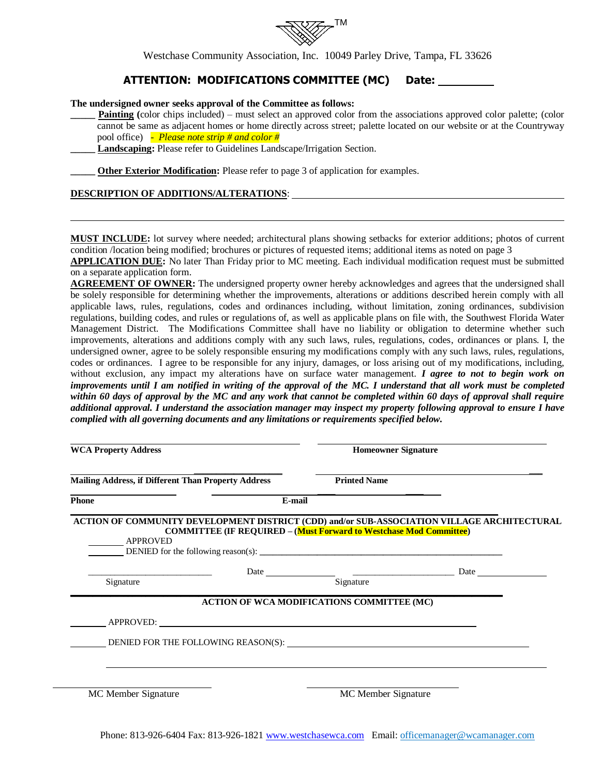

Westchase Community Association, Inc. 10049 Parley Drive, Tampa, FL 33626

## **ATTENTION: MODIFICATIONS COMMITTEE (MC) Date:**

#### **The undersigned owner seeks approval of the Committee as follows:**

- **Painting** (color chips included) must select an approved color from the associations approved color palette; (color cannot be same as adjacent homes or home directly across street; palette located on our website or at the Countryway pool office) *- Please note strip # and color #*
- **\_\_\_\_\_ Landscaping:** Please refer to Guidelines Landscape/Irrigation Section.

**Other Exterior Modification:** Please refer to page 3 of application for examples.

### **DESCRIPTION OF ADDITIONS/ALTERATIONS**:

**MUST INCLUDE:** lot survey where needed; architectural plans showing setbacks for exterior additions; photos of current condition /location being modified; brochures or pictures of requested items; additional items as noted on page 3

**APPLICATION DUE:** No later Than Friday prior to MC meeting. Each individual modification request must be submitted on a separate application form.

**AGREEMENT OF OWNER:** The undersigned property owner hereby acknowledges and agrees that the undersigned shall be solely responsible for determining whether the improvements, alterations or additions described herein comply with all applicable laws, rules, regulations, codes and ordinances including, without limitation, zoning ordinances, subdivision regulations, building codes, and rules or regulations of, as well as applicable plans on file with, the Southwest Florida Water Management District. The Modifications Committee shall have no liability or obligation to determine whether such improvements, alterations and additions comply with any such laws, rules, regulations, codes, ordinances or plans. I, the undersigned owner, agree to be solely responsible ensuring my modifications comply with any such laws, rules, regulations, codes or ordinances. I agree to be responsible for any injury, damages, or loss arising out of my modifications, including, without exclusion, any impact my alterations have on surface water management. *I agree to not to begin work on improvements until I am notified in writing of the approval of the MC. I understand that all work must be completed within 60 days of approval by the MC and any work that cannot be completed within 60 days of approval shall require additional approval. I understand the association manager may inspect my property following approval to ensure I have complied with all governing documents and any limitations or requirements specified below.*

| <b>WCA Property Address</b>                                                                                                                                                                                                                          | <b>Homeowner Signature</b>                        |  |
|------------------------------------------------------------------------------------------------------------------------------------------------------------------------------------------------------------------------------------------------------|---------------------------------------------------|--|
| <b>Mailing Address, if Different Than Property Address</b>                                                                                                                                                                                           | <b>Printed Name</b>                               |  |
| Phone                                                                                                                                                                                                                                                | E-mail                                            |  |
| ACTION OF COMMUNITY DEVELOPMENT DISTRICT (CDD) and/or SUB-ASSOCIATION VILLAGE ARCHITECTURAL<br><b>COMMITTEE (IF REQUIRED - (Must Forward to Westchase Mod Committee)</b><br>________ APPROVED<br>DENIED for the following reason(s): $\qquad \qquad$ |                                                   |  |
|                                                                                                                                                                                                                                                      |                                                   |  |
| Signature                                                                                                                                                                                                                                            | Signature                                         |  |
|                                                                                                                                                                                                                                                      | <b>ACTION OF WCA MODIFICATIONS COMMITTEE (MC)</b> |  |
|                                                                                                                                                                                                                                                      |                                                   |  |
| DENIED FOR THE FOLLOWING REASON(S):                                                                                                                                                                                                                  |                                                   |  |
|                                                                                                                                                                                                                                                      |                                                   |  |
|                                                                                                                                                                                                                                                      |                                                   |  |
| MC Member Signature                                                                                                                                                                                                                                  | MC Member Signature                               |  |

Phone: 813-926-6404 Fax: 813-926-1821 [www.westchasewca.com](http://www.westchasewca.com/) Email: offic[emanager@wcamanager.com](mailto:manager@wcamanager.com)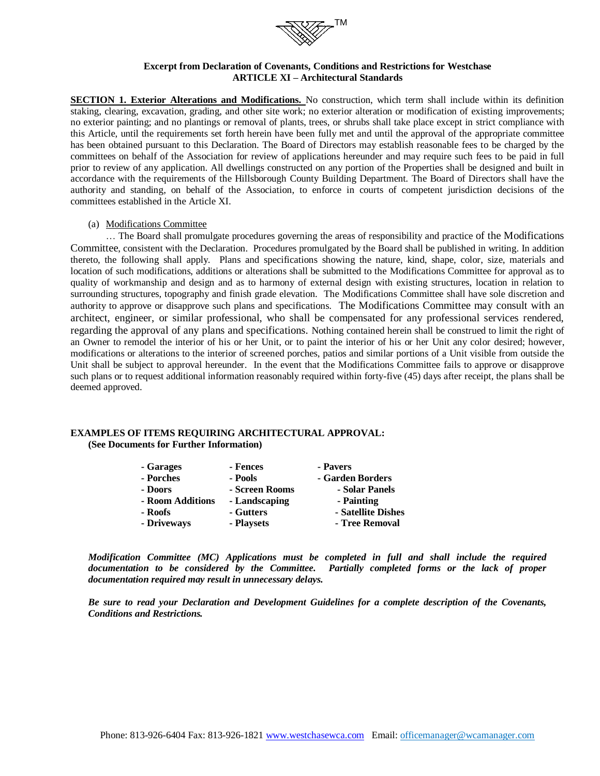

### **Excerpt from Declaration of Covenants, Conditions and Restrictions for Westchase ARTICLE XI – Architectural Standards**

**SECTION 1. Exterior Alterations and Modifications.** No construction, which term shall include within its definition staking, clearing, excavation, grading, and other site work; no exterior alteration or modification of existing improvements; no exterior painting; and no plantings or removal of plants, trees, or shrubs shall take place except in strict compliance with this Article, until the requirements set forth herein have been fully met and until the approval of the appropriate committee has been obtained pursuant to this Declaration. The Board of Directors may establish reasonable fees to be charged by the committees on behalf of the Association for review of applications hereunder and may require such fees to be paid in full prior to review of any application. All dwellings constructed on any portion of the Properties shall be designed and built in accordance with the requirements of the Hillsborough County Building Department. The Board of Directors shall have the authority and standing, on behalf of the Association, to enforce in courts of competent jurisdiction decisions of the committees established in the Article XI.

#### (a) Modifications Committee

… The Board shall promulgate procedures governing the areas of responsibility and practice of the Modifications Committee, consistent with the Declaration. Procedures promulgated by the Board shall be published in writing. In addition thereto, the following shall apply. Plans and specifications showing the nature, kind, shape, color, size, materials and location of such modifications, additions or alterations shall be submitted to the Modifications Committee for approval as to quality of workmanship and design and as to harmony of external design with existing structures, location in relation to surrounding structures, topography and finish grade elevation. The Modifications Committee shall have sole discretion and authority to approve or disapprove such plans and specifications. The Modifications Committee may consult with an architect, engineer, or similar professional, who shall be compensated for any professional services rendered, regarding the approval of any plans and specifications. Nothing contained herein shall be construed to limit the right of an Owner to remodel the interior of his or her Unit, or to paint the interior of his or her Unit any color desired; however, modifications or alterations to the interior of screened porches, patios and similar portions of a Unit visible from outside the Unit shall be subject to approval hereunder. In the event that the Modifications Committee fails to approve or disapprove such plans or to request additional information reasonably required within forty-five (45) days after receipt, the plans shall be deemed approved.

#### **EXAMPLES OF ITEMS REQUIRING ARCHITECTURAL APPROVAL: (See Documents for Further Information)**

| - Garages        | - Fences       | - Pavers           |
|------------------|----------------|--------------------|
| - Porches        | - Pools        | - Garden Borders   |
| - Doors          | - Screen Rooms | - Solar Panels     |
| - Room Additions | - Landscaping  | - Painting         |
| - Roofs          | - Gutters      | - Satellite Dishes |
| - Driveways      | - Playsets     | - Tree Removal     |

*Modification Committee (MC) Applications must be completed in full and shall include the required documentation to be considered by the Committee. Partially completed forms or the lack of proper documentation required may result in unnecessary delays.*

*Be sure to read your Declaration and Development Guidelines for a complete description of the Covenants, Conditions and Restrictions.*